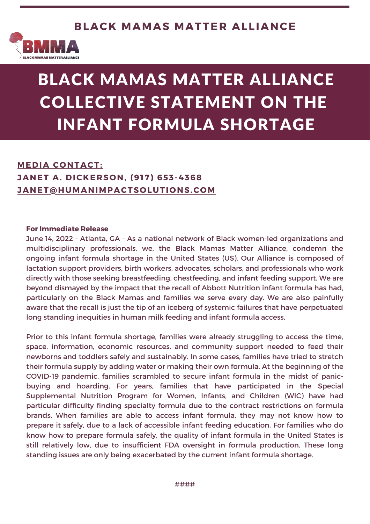

# BLACK MAMAS MATTER ALLIANCE COLLECTIVE STATEMENT ON THE INFANT FORMULA SHORTAGE

#### An inside look at BMMA's 2020 Impact **JANET A. DICKERSON, (917) 653-4368 MEDIA CONTACT: [JANET@HUMANIMPACTSOLUTIONS.COM](mailto:janet@humanimpactsolutions.com)**

#### **For Immediate Release**

June 14, 2022 - Atlanta, GA - As a national network of Black women-led organizations and multidisciplinary professionals, we, the Black Mamas Matter Alliance, condemn the ongoing infant formula shortage in the United States (US). Our Alliance is composed of lactation support providers, birth workers, advocates, scholars, and professionals who work directly with those seeking breastfeeding, chestfeeding, and infant feeding support. We are beyond dismayed by the impact that the recall of Abbott Nutrition infant formula has had, particularly on the Black Mamas and families we serve every day. We are also painfully aware that the recall is just the tip of an iceberg of systemic failures that have perpetuated long standing inequities in human milk feeding and infant formula access.

Prior to this infant formula shortage, families were already struggling to access the time, space, information, economic resources, and community support needed to feed their newborns and toddlers safely and sustainably. In some cases, families have tried to stretch their formula supply by adding water or making their own formula. At the beginning of the COVID-19 [pandemic,](https://www.washingtonpost.com/lifestyle/2020/04/10/worries-over-formula-shortages-have-stirred-interest-relactation-heres-what-know/) families scrambled to secure infant formula in the midst of panicbuying and hoarding. For years, families that have participated in the Special Supplemental Nutrition Program for Women, Infants, and Children (WIC) have had [particular](https://khn.org/news/article/low-income-families-baby-formula-strain-wic/) difficulty finding specialty formula due to the contract restrictions on formula brands. When families are able to access infant formula, they may not know how to prepare it safely, due to a lack of accessible infant feeding education. For families who do know how to prepare formula safely, the quality of infant formula in the United States is still relatively low, due to insufficient FDA oversight in formula production. These long standing issues are only being exacerbated by the current infant formula shortage.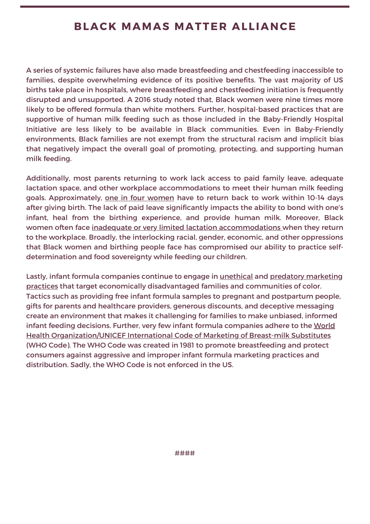### **BLACK MAMAS MATTER ALLIANCE**

A series of systemic failures have also made breastfeeding and chestfeeding inaccessible to families, despite overwhelming evidence of its positive [benefits.](https://www.jognn.org/article/S0884-2175(21)00116-7/pdf?utm_source=AWHONN&utm_medium=page-clicks&utm_campaign=position-statement-clicks&utm_id=+) The vast majority of US births take place in hospitals, where breastfeeding and chestfeeding initiation is frequently disrupted and unsupported. A 2016 [study](https://publications.aap.org/pediatrics/article/138/2/e20152388/52433/Racial-and-Ethnic-Differences-in-Breastfeeding) noted that, Black women were nine times more likely to be offered formula than white mothers. Further, hospital-based practices that are supportive of human milk feeding such as those included in the Baby-Friendly Hospital Initiative are less likely to be available in Black [communities](https://publications.aap.org/pediatrics/article/143/2/e20181897/37290/Addressing-Racial-Inequities-in-Breastfeeding-in). Even in Baby-Friendly environments, Black families are not exempt from the structural racism and implicit bias that negatively impact the overall goal of promoting, protecting, and supporting human milk feeding.

Additionally, most parents returning to work lack access to paid family leave, adequate lactation space, and other workplace accommodations to meet their human milk feeding goals. Approximately, one in four [women](https://pubmed.ncbi.nlm.nih.gov/32134836/) have to return back to work within 10-14 days after giving birth. The lack of paid leave significantly impacts the ability to bond with one's infant, heal from the birthing experience, and provide human milk. Moreover, Black women often face inadequate or very limited lactation [accommodations](http://www.calwic.org/wp-content/uploads/2020/12/Lactation-Accommodation-Brief-201210.pdf) when they return to the workplace. Broadly, the interlocking racial, gender, economic, and other oppressions that Black women and birthing people face has compromised our ability to practice selfdetermination and food sovereignty while feeding our children.

Lastly, infant formula companies continue to engage in **[unethical](https://www.who.int/news-room/commentaries/detail/it-s-time-to-stop-infant-formula-marketing-practices-that-endanger-our-children) and predatory marketing** practices that target economically [disadvantaged](https://www.who.int/publications/i/item/9789240044609) families and communities of color. Tactics such as providing free infant formula samples to pregnant and postpartum people, gifts for parents and healthcare providers, generous discounts, and deceptive messaging create an environment that makes it challenging for families to make unbiased, informed infant feeding decisions. Further, very few infant formula companies adhere to the World Health [Organization/UNICEF](https://www.who.int/publications/i/item/9241541601) International Code of Marketing of Breast-milk Substitutes (WHO Code). The WHO Code was created in 1981 to promote breastfeeding and protect consumers against aggressive and improper infant formula marketing practices and distribution. Sadly, the WHO Code is not enforced in the US.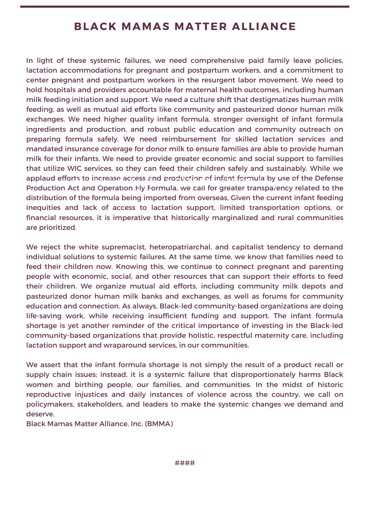### **BLACK MAMAS MATTER ALLIANCE**

In light of these systemic failures, we need comprehensive paid family leave policies, lactation accommodations for pregnant and postpartum workers, and a commitment to center pregnant and postpartum workers in the resurgent labor movement. We need to hold hospitals and providers accountable for maternal health outcomes, including human milk feeding initiation and support. We need a culture shift that destigmatizes human milk feeding, as well as mutual aid efforts like community and pasteurized donor human milk exchanges. We need higher quality infant formula, stronger oversight of infant formula ingredients and production, and robust public education and community outreach on preparing formula safely. We need reimbursement for skilled lactation services and mandated insurance coverage for donor milk to ensure families are able to provide human milk for their infants. We need to provide greater economic and social support to families that utilize WIC services, so they can feed their children safely and sustainably. While we applaud efforts to increase access and production of infant formula by use of the Defense<br>Production Act and Operation Ely Fermula we call for greater transparency related to the Production Act and Operation Fly Formula, we call for greater transparency related to the distribution of the formula being imported from overseas. Given the current infant feeding inequities and lack of access to lactation support, limited transportation options, or financial resources, it is imperative that historically marginalized and rural communities are prioritized.

We reject the white supremacist, heteropatriarchal, and capitalist tendency to demand individual solutions to systemic failures. At the same time, we know that families need to feed their children now. Knowing this, we continue to connect pregnant and parenting people with economic, social, and other resources that can support their efforts to feed their children. We organize mutual aid efforts, including community milk depots and pasteurized donor human milk banks and exchanges, as well as forums for community education and connection. As always, Black-led community-based organizations are doing life-saving work, while receiving insufficient funding and support. The infant formula shortage is yet another reminder of the critical importance of investing in the Black-led community-based organizations that provide holistic, respectful maternity care, including lactation support and wraparound services, in our communities.

We assert that the infant formula shortage is not simply the result of a product recall or supply chain issues; instead, it is a systemic failure that disproportionately harms Black women and birthing people, our families, and communities. In the midst of historic reproductive injustices and daily instances of violence across the country, we call on policymakers, stakeholders, and leaders to make the systemic changes we demand and deserve.

Black Mamas Matter [Alliance,](https://blackmamasmatter.org/) Inc. (BMMA)